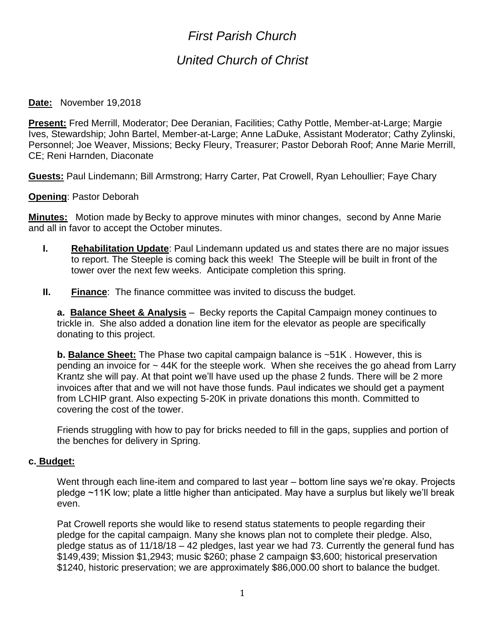# *First Parish Church*

## *United Church of Christ*

#### **Date:** November 19,2018

**Present:** Fred Merrill, Moderator; Dee Deranian, Facilities; Cathy Pottle, Member-at-Large; Margie Ives, Stewardship; John Bartel, Member-at-Large; Anne LaDuke, Assistant Moderator; Cathy Zylinski, Personnel; Joe Weaver, Missions; Becky Fleury, Treasurer; Pastor Deborah Roof; Anne Marie Merrill, CE; Reni Harnden, Diaconate

**Guests:** Paul Lindemann; Bill Armstrong; Harry Carter, Pat Crowell, Ryan Lehoullier; Faye Chary

**Opening**: Pastor Deborah

**Minutes:** Motion made by Becky to approve minutes with minor changes, second by Anne Marie and all in favor to accept the October minutes.

- **I. Rehabilitation Update**: Paul Lindemann updated us and states there are no major issues to report. The Steeple is coming back this week! The Steeple will be built in front of the tower over the next few weeks. Anticipate completion this spring.
- **II. Finance**: The finance committee was invited to discuss the budget.

**a. Balance Sheet & Analysis** – Becky reports the Capital Campaign money continues to trickle in. She also added a donation line item for the elevator as people are specifically donating to this project.

**b. Balance Sheet:** The Phase two capital campaign balance is ~51K . However, this is pending an invoice for ~ 44K for the steeple work. When she receives the go ahead from Larry Krantz she will pay. At that point we'll have used up the phase 2 funds. There will be 2 more invoices after that and we will not have those funds. Paul indicates we should get a payment from LCHIP grant. Also expecting 5-20K in private donations this month. Committed to covering the cost of the tower.

Friends struggling with how to pay for bricks needed to fill in the gaps, supplies and portion of the benches for delivery in Spring.

#### **c. Budget:**

Went through each line-item and compared to last year – bottom line says we're okay. Projects pledge ~11K low; plate a little higher than anticipated. May have a surplus but likely we'll break even.

Pat Crowell reports she would like to resend status statements to people regarding their pledge for the capital campaign. Many she knows plan not to complete their pledge. Also, pledge status as of 11/18/18 – 42 pledges, last year we had 73. Currently the general fund has \$149,439; Mission \$1,2943; music \$260; phase 2 campaign \$3,600; historical preservation \$1240, historic preservation; we are approximately \$86,000.00 short to balance the budget.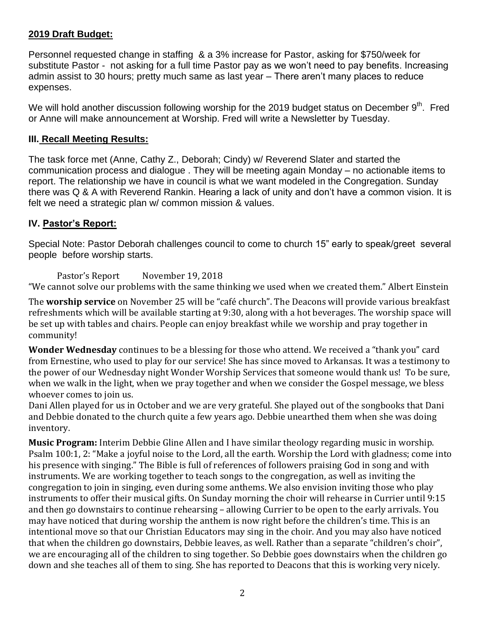#### **2019 Draft Budget:**

Personnel requested change in staffing & a 3% increase for Pastor, asking for \$750/week for substitute Pastor - not asking for a full time Pastor pay as we won't need to pay benefits. Increasing admin assist to 30 hours; pretty much same as last year – There aren't many places to reduce expenses.

We will hold another discussion following worship for the 2019 budget status on December  $9^{th}$ . Fred or Anne will make announcement at Worship. Fred will write a Newsletter by Tuesday.

#### **III. Recall Meeting Results:**

The task force met (Anne, Cathy Z., Deborah; Cindy) w/ Reverend Slater and started the communication process and dialogue . They will be meeting again Monday – no actionable items to report. The relationship we have in council is what we want modeled in the Congregation. Sunday there was Q & A with Reverend Rankin. Hearing a lack of unity and don't have a common vision. It is felt we need a strategic plan w/ common mission & values.

### **IV. Pastor's Report:**

Special Note: Pastor Deborah challenges council to come to church 15" early to speak/greet several people before worship starts.

Pastor's Report November 19, 2018

"We cannot solve our problems with the same thinking we used when we created them." Albert Einstein

The **worship service** on November 25 will be "café church". The Deacons will provide various breakfast refreshments which will be available starting at 9:30, along with a hot beverages. The worship space will be set up with tables and chairs. People can enjoy breakfast while we worship and pray together in community!

**Wonder Wednesday** continues to be a blessing for those who attend. We received a "thank you" card from Ernestine, who used to play for our service! She has since moved to Arkansas. It was a testimony to the power of our Wednesday night Wonder Worship Services that someone would thank us! To be sure, when we walk in the light, when we pray together and when we consider the Gospel message, we bless whoever comes to join us.

Dani Allen played for us in October and we are very grateful. She played out of the songbooks that Dani and Debbie donated to the church quite a few years ago. Debbie unearthed them when she was doing inventory.

**Music Program:** Interim Debbie Gline Allen and I have similar theology regarding music in worship. Psalm 100:1, 2: "Make a joyful noise to the Lord, all the earth. Worship the Lord with gladness; come into his presence with singing." The Bible is full of references of followers praising God in song and with instruments. We are working together to teach songs to the congregation, as well as inviting the congregation to join in singing, even during some anthems. We also envision inviting those who play instruments to offer their musical gifts. On Sunday morning the choir will rehearse in Currier until 9:15 and then go downstairs to continue rehearsing – allowing Currier to be open to the early arrivals. You may have noticed that during worship the anthem is now right before the children's time. This is an intentional move so that our Christian Educators may sing in the choir. And you may also have noticed that when the children go downstairs, Debbie leaves, as well. Rather than a separate "children's choir", we are encouraging all of the children to sing together. So Debbie goes downstairs when the children go down and she teaches all of them to sing. She has reported to Deacons that this is working very nicely.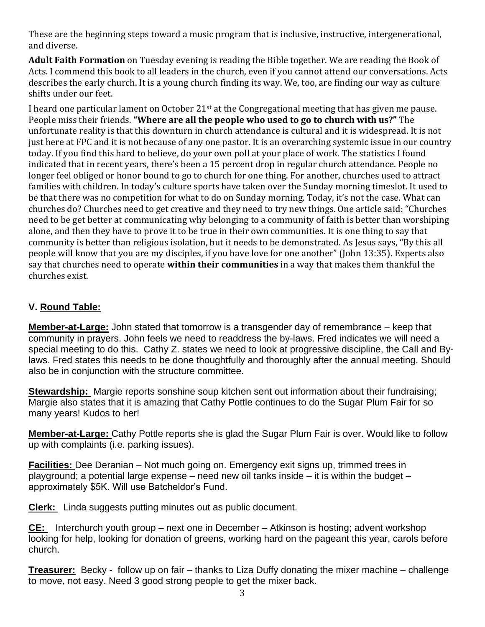These are the beginning steps toward a music program that is inclusive, instructive, intergenerational, and diverse.

**Adult Faith Formation** on Tuesday evening is reading the Bible together. We are reading the Book of Acts. I commend this book to all leaders in the church, even if you cannot attend our conversations. Acts describes the early church. It is a young church finding its way. We, too, are finding our way as culture shifts under our feet.

I heard one particular lament on October 21st at the Congregational meeting that has given me pause. People miss their friends. **"Where are all the people who used to go to church with us?"** The unfortunate reality is that this downturn in church attendance is cultural and it is widespread. It is not just here at FPC and it is not because of any one pastor. It is an overarching systemic issue in our country today. If you find this hard to believe, do your own poll at your place of work. The statistics I found indicated that in recent years, there's been a 15 percent drop in regular church attendance. People no longer feel obliged or honor bound to go to church for one thing. For another, churches used to attract families with children. In today's culture sports have taken over the Sunday morning timeslot. It used to be that there was no competition for what to do on Sunday morning. Today, it's not the case. What can churches do? Churches need to get creative and they need to try new things. One article said: "Churches need to be get better at communicating why belonging to a community of faith is better than worshiping alone, and then they have to prove it to be true in their own communities. It is one thing to say that community is better than religious isolation, but it needs to be demonstrated. As Jesus says, "By this all people will know that you are my disciples, if you have love for one another" (John 13:35). Experts also say that churches need to operate **within their communities** in a way that makes them thankful the churches exist.

## **V. Round Table:**

**Member-at-Large:** John stated that tomorrow is a transgender day of remembrance – keep that community in prayers. John feels we need to readdress the by-laws. Fred indicates we will need a special meeting to do this. Cathy Z. states we need to look at progressive discipline, the Call and Bylaws. Fred states this needs to be done thoughtfully and thoroughly after the annual meeting. Should also be in conjunction with the structure committee.

**Stewardship:** Margie reports sonshine soup kitchen sent out information about their fundraising; Margie also states that it is amazing that Cathy Pottle continues to do the Sugar Plum Fair for so many years! Kudos to her!

**Member-at-Large:** Cathy Pottle reports she is glad the Sugar Plum Fair is over. Would like to follow up with complaints (i.e. parking issues).

**Facilities:** Dee Deranian – Not much going on. Emergency exit signs up, trimmed trees in playground; a potential large expense – need new oil tanks inside – it is within the budget – approximately \$5K. Will use Batcheldor's Fund.

**Clerk:** Linda suggests putting minutes out as public document.

**CE:** Interchurch youth group – next one in December – Atkinson is hosting; advent workshop looking for help, looking for donation of greens, working hard on the pageant this year, carols before church.

**Treasurer:** Becky - follow up on fair – thanks to Liza Duffy donating the mixer machine – challenge to move, not easy. Need 3 good strong people to get the mixer back.